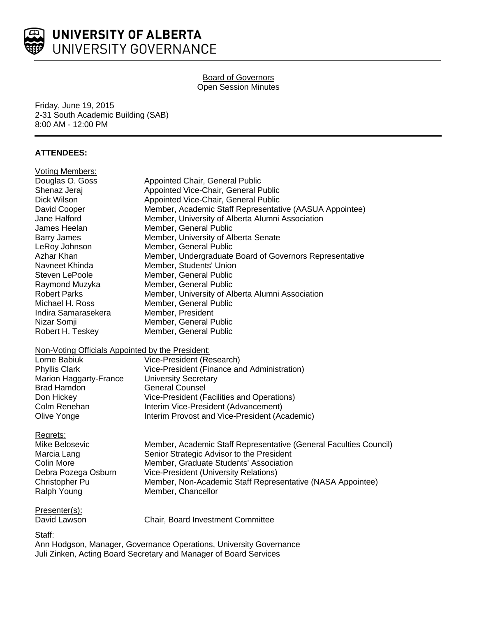

# Board of Governors Open Session Minutes

Friday, June 19, 2015 2-31 South Academic Building (SAB) 8:00 AM - 12:00 PM

# **ATTENDEES:**

| <b>Voting Members:</b>                           |                                                                   |
|--------------------------------------------------|-------------------------------------------------------------------|
| Douglas O. Goss                                  | Appointed Chair, General Public                                   |
| Shenaz Jeraj                                     | Appointed Vice-Chair, General Public                              |
| Dick Wilson                                      | Appointed Vice-Chair, General Public                              |
| David Cooper                                     | Member, Academic Staff Representative (AASUA Appointee)           |
| Jane Halford                                     | Member, University of Alberta Alumni Association                  |
| James Heelan                                     | Member, General Public                                            |
| <b>Barry James</b>                               | Member, University of Alberta Senate                              |
| LeRoy Johnson                                    | Member, General Public                                            |
| Azhar Khan                                       | Member, Undergraduate Board of Governors Representative           |
| Navneet Khinda                                   | Member, Students' Union                                           |
| <b>Steven LePoole</b>                            | Member, General Public                                            |
| Raymond Muzyka                                   | Member, General Public                                            |
| <b>Robert Parks</b>                              | Member, University of Alberta Alumni Association                  |
| Michael H. Ross                                  | Member, General Public                                            |
| Indira Samarasekera                              | Member, President                                                 |
| Nizar Somji                                      | Member, General Public                                            |
| Robert H. Teskey                                 | Member, General Public                                            |
| Non-Voting Officials Appointed by the President: |                                                                   |
| Lorne Babiuk                                     | Vice-President (Research)                                         |
| <b>Phyllis Clark</b>                             | Vice-President (Finance and Administration)                       |
| Marion Haggarty-France                           | <b>University Secretary</b>                                       |
| <b>Brad Hamdon</b>                               | <b>General Counsel</b>                                            |
| Don Hickey                                       | Vice-President (Facilities and Operations)                        |
| Colm Renehan                                     | Interim Vice-President (Advancement)                              |
| Olive Yonge                                      | Interim Provost and Vice-President (Academic)                     |
| Regrets:                                         |                                                                   |
| Mike Belosevic                                   | Member, Academic Staff Representative (General Faculties Council) |
| Marcia Lang                                      | Senior Strategic Advisor to the President                         |
| Colin More                                       | Member, Graduate Students' Association                            |
| Debra Pozega Osburn                              | Vice-President (University Relations)                             |
| Christopher Pu                                   | Member, Non-Academic Staff Representative (NASA Appointee)        |
| Ralph Young                                      | Member, Chancellor                                                |
| Presenter(s):                                    |                                                                   |
| David Lawson                                     | Chair, Board Investment Committee                                 |
|                                                  |                                                                   |
| Staff:                                           |                                                                   |

Ann Hodgson, Manager, Governance Operations, University Governance Juli Zinken, Acting Board Secretary and Manager of Board Services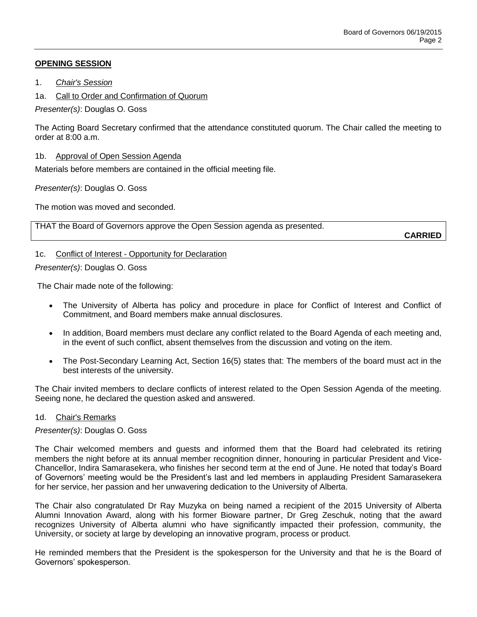# **OPENING SESSION**

- 1. *Chair's Session*
- 1a. Call to Order and Confirmation of Quorum

*Presenter(s)*: Douglas O. Goss

The Acting Board Secretary confirmed that the attendance constituted quorum. The Chair called the meeting to order at 8:00 a.m.

## 1b. Approval of Open Session Agenda

Materials before members are contained in the official meeting file.

# *Presenter(s)*: Douglas O. Goss

The motion was moved and seconded.

THAT the Board of Governors approve the Open Session agenda as presented.

**CARRIED**

# 1c. Conflict of Interest - Opportunity for Declaration

*Presenter(s)*: Douglas O. Goss

The Chair made note of the following:

- The University of Alberta has policy and procedure in place for Conflict of Interest and Conflict of Commitment, and Board members make annual disclosures.
- In addition, Board members must declare any conflict related to the Board Agenda of each meeting and, in the event of such conflict, absent themselves from the discussion and voting on the item.
- The Post-Secondary Learning Act, Section 16(5) states that: The members of the board must act in the best interests of the university.

The Chair invited members to declare conflicts of interest related to the Open Session Agenda of the meeting. Seeing none, he declared the question asked and answered.

## 1d. Chair's Remarks

## *Presenter(s)*: Douglas O. Goss

The Chair welcomed members and guests and informed them that the Board had celebrated its retiring members the night before at its annual member recognition dinner, honouring in particular President and Vice-Chancellor, Indira Samarasekera, who finishes her second term at the end of June. He noted that today's Board of Governors' meeting would be the President's last and led members in applauding President Samarasekera for her service, her passion and her unwavering dedication to the University of Alberta.

The Chair also congratulated Dr Ray Muzyka on being named a recipient of the 2015 University of Alberta Alumni Innovation Award, along with his former Bioware partner, Dr Greg Zeschuk, noting that the award recognizes University of Alberta alumni who have significantly impacted their profession, community, the University, or society at large by developing an innovative program, process or product.

He reminded members that the President is the spokesperson for the University and that he is the Board of Governors' spokesperson.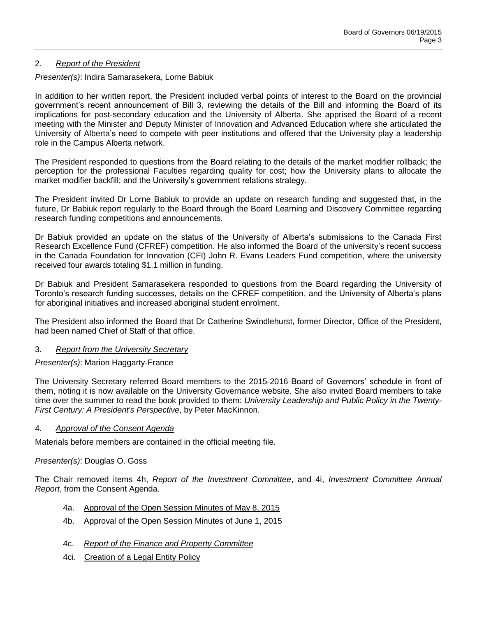## 2. *Report of the President*

## *Presenter(s)*: Indira Samarasekera, Lorne Babiuk

In addition to her written report, the President included verbal points of interest to the Board on the provincial government's recent announcement of Bill 3, reviewing the details of the Bill and informing the Board of its implications for post-secondary education and the University of Alberta. She apprised the Board of a recent meeting with the Minister and Deputy Minister of Innovation and Advanced Education where she articulated the University of Alberta's need to compete with peer institutions and offered that the University play a leadership role in the Campus Alberta network.

The President responded to questions from the Board relating to the details of the market modifier rollback; the perception for the professional Faculties regarding quality for cost; how the University plans to allocate the market modifier backfill; and the University's government relations strategy.

The President invited Dr Lorne Babiuk to provide an update on research funding and suggested that, in the future, Dr Babiuk report regularly to the Board through the Board Learning and Discovery Committee regarding research funding competitions and announcements.

Dr Babiuk provided an update on the status of the University of Alberta's submissions to the Canada First Research Excellence Fund (CFREF) competition. He also informed the Board of the university's recent success in the Canada Foundation for Innovation (CFI) John R. Evans Leaders Fund competition, where the university received four awards totaling \$1.1 million in funding.

Dr Babiuk and President Samarasekera responded to questions from the Board regarding the University of Toronto's research funding successes, details on the CFREF competition, and the University of Alberta's plans for aboriginal initiatives and increased aboriginal student enrolment.

The President also informed the Board that Dr Catherine Swindlehurst, former Director, Office of the President, had been named Chief of Staff of that office.

## 3. *Report from the University Secretary*

*Presenter(s)*: Marion Haggarty-France

The University Secretary referred Board members to the 2015-2016 Board of Governors' schedule in front of them, noting it is now available on the University Governance website. She also invited Board members to take time over the summer to read the book provided to them: *University Leadership and Public Policy in the Twenty-First Century: A President's Perspective*, by Peter MacKinnon.

## 4. *Approval of the Consent Agenda*

Materials before members are contained in the official meeting file.

## *Presenter(s)*: Douglas O. Goss

The Chair removed items 4h, *Report of the Investment Committee*, and 4i, *Investment Committee Annual Report*, from the Consent Agenda.

- 4a. Approval of the Open Session Minutes of May 8, 2015
- 4b. Approval of the Open Session Minutes of June 1, 2015
- 4c. *Report of the Finance and Property Committee*
- 4ci. Creation of a Legal Entity Policy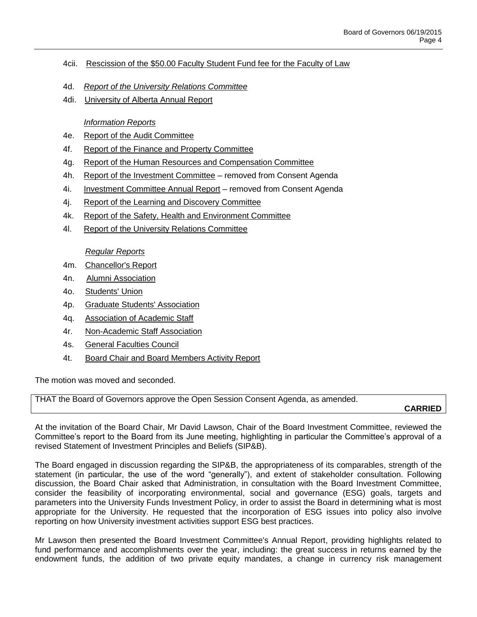- 4cii. Rescission of the \$50.00 Faculty Student Fund fee for the Faculty of Law
- 4d. *Report of the University Relations Committee*
- 4di. University of Alberta Annual Report

# *Information Reports*

- 4e. Report of the Audit Committee
- 4f. Report of the Finance and Property Committee
- 4g. Report of the Human Resources and Compensation Committee
- 4h. Report of the Investment Committee removed from Consent Agenda
- 4i. Investment Committee Annual Report removed from Consent Agenda
- 4j. Report of the Learning and Discovery Committee
- 4k. Report of the Safety, Health and Environment Committee
- 4l. Report of the University Relations Committee

## *Regular Reports*

- 4m. Chancellor's Report
- 4n. Alumni Association
- 4o. Students' Union
- 4p. Graduate Students' Association
- 4q. Association of Academic Staff
- 4r. Non-Academic Staff Association
- 4s. General Faculties Council
- 4t. Board Chair and Board Members Activity Report

The motion was moved and seconded.

THAT the Board of Governors approve the Open Session Consent Agenda, as amended.

**CARRIED**

At the invitation of the Board Chair, Mr David Lawson, Chair of the Board Investment Committee, reviewed the Committee's report to the Board from its June meeting, highlighting in particular the Committee's approval of a revised Statement of Investment Principles and Beliefs (SIP&B).

The Board engaged in discussion regarding the SIP&B, the appropriateness of its comparables, strength of the statement (in particular, the use of the word "generally"), and extent of stakeholder consultation. Following discussion, the Board Chair asked that Administration, in consultation with the Board Investment Committee, consider the feasibility of incorporating environmental, social and governance (ESG) goals, targets and parameters into the University Funds Investment Policy, in order to assist the Board in determining what is most appropriate for the University. He requested that the incorporation of ESG issues into policy also involve reporting on how University investment activities support ESG best practices.

Mr Lawson then presented the Board Investment Committee's Annual Report, providing highlights related to fund performance and accomplishments over the year, including: the great success in returns earned by the endowment funds, the addition of two private equity mandates, a change in currency risk management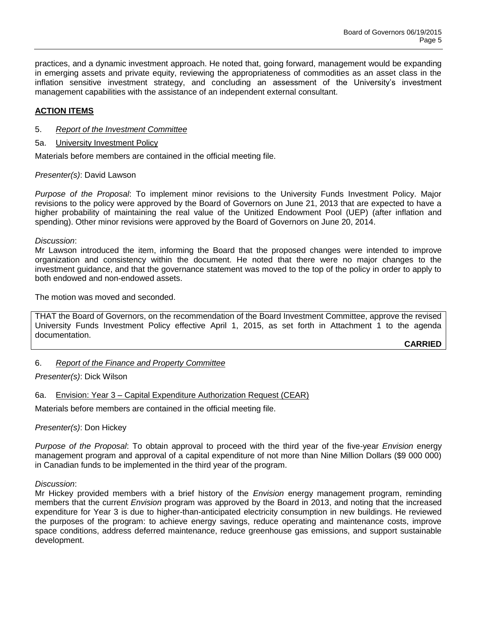practices, and a dynamic investment approach. He noted that, going forward, management would be expanding in emerging assets and private equity, reviewing the appropriateness of commodities as an asset class in the inflation sensitive investment strategy, and concluding an assessment of the University's investment management capabilities with the assistance of an independent external consultant.

## **ACTION ITEMS**

- 5. *Report of the Investment Committee*
- 5a. University Investment Policy

Materials before members are contained in the official meeting file.

#### *Presenter(s)*: David Lawson

*Purpose of the Proposal*: To implement minor revisions to the University Funds Investment Policy. Major revisions to the policy were approved by the Board of Governors on June 21, 2013 that are expected to have a higher probability of maintaining the real value of the Unitized Endowment Pool (UEP) (after inflation and spending). Other minor revisions were approved by the Board of Governors on June 20, 2014.

#### *Discussion*:

Mr Lawson introduced the item, informing the Board that the proposed changes were intended to improve organization and consistency within the document. He noted that there were no major changes to the investment guidance, and that the governance statement was moved to the top of the policy in order to apply to both endowed and non-endowed assets.

The motion was moved and seconded.

THAT the Board of Governors, on the recommendation of the Board Investment Committee, approve the revised University Funds Investment Policy effective April 1, 2015, as set forth in Attachment 1 to the agenda documentation.

**CARRIED**

## 6. *Report of the Finance and Property Committee*

*Presenter(s)*: Dick Wilson

## 6a. Envision: Year 3 – Capital Expenditure Authorization Request (CEAR)

Materials before members are contained in the official meeting file.

*Presenter(s)*: Don Hickey

*Purpose of the Proposal*: To obtain approval to proceed with the third year of the five-year *Envision* energy management program and approval of a capital expenditure of not more than Nine Million Dollars (\$9 000 000) in Canadian funds to be implemented in the third year of the program.

#### *Discussion*:

Mr Hickey provided members with a brief history of the *Envision* energy management program, reminding members that the current *Envision* program was approved by the Board in 2013, and noting that the increased expenditure for Year 3 is due to higher-than-anticipated electricity consumption in new buildings. He reviewed the purposes of the program: to achieve energy savings, reduce operating and maintenance costs, improve space conditions, address deferred maintenance, reduce greenhouse gas emissions, and support sustainable development.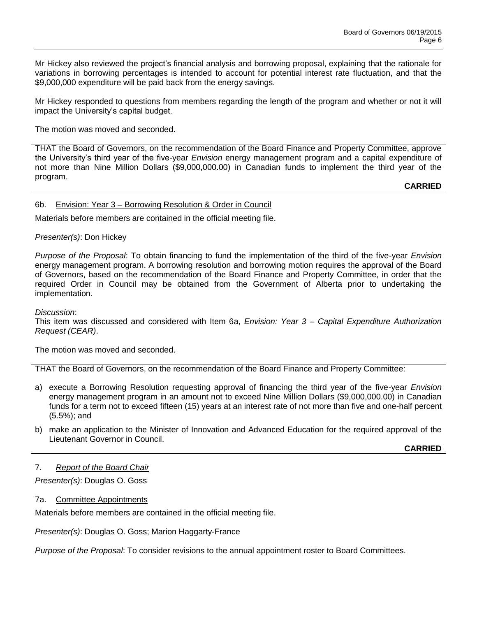Mr Hickey also reviewed the project's financial analysis and borrowing proposal, explaining that the rationale for variations in borrowing percentages is intended to account for potential interest rate fluctuation, and that the \$9,000,000 expenditure will be paid back from the energy savings.

Mr Hickey responded to questions from members regarding the length of the program and whether or not it will impact the University's capital budget.

The motion was moved and seconded.

THAT the Board of Governors, on the recommendation of the Board Finance and Property Committee, approve the University's third year of the five-year *Envision* energy management program and a capital expenditure of not more than Nine Million Dollars (\$9,000,000.00) in Canadian funds to implement the third year of the program.

**CARRIED**

#### 6b. Envision: Year 3 – Borrowing Resolution & Order in Council

Materials before members are contained in the official meeting file.

#### *Presenter(s)*: Don Hickey

*Purpose of the Proposal*: To obtain financing to fund the implementation of the third of the five-year *Envision* energy management program. A borrowing resolution and borrowing motion requires the approval of the Board of Governors, based on the recommendation of the Board Finance and Property Committee, in order that the required Order in Council may be obtained from the Government of Alberta prior to undertaking the implementation.

*Discussion*:

This item was discussed and considered with Item 6a, *Envision: Year 3 – Capital Expenditure Authorization Request (CEAR)*.

The motion was moved and seconded.

THAT the Board of Governors, on the recommendation of the Board Finance and Property Committee:

- a) execute a Borrowing Resolution requesting approval of financing the third year of the five-year *Envision*  energy management program in an amount not to exceed Nine Million Dollars (\$9,000,000.00) in Canadian funds for a term not to exceed fifteen (15) years at an interest rate of not more than five and one-half percent (5.5%); and
- b) make an application to the Minister of Innovation and Advanced Education for the required approval of the Lieutenant Governor in Council.

**CARRIED**

#### 7. *Report of the Board Chair*

*Presenter(s)*: Douglas O. Goss

7a. Committee Appointments

Materials before members are contained in the official meeting file.

*Presenter(s)*: Douglas O. Goss; Marion Haggarty-France

*Purpose of the Proposal*: To consider revisions to the annual appointment roster to Board Committees.